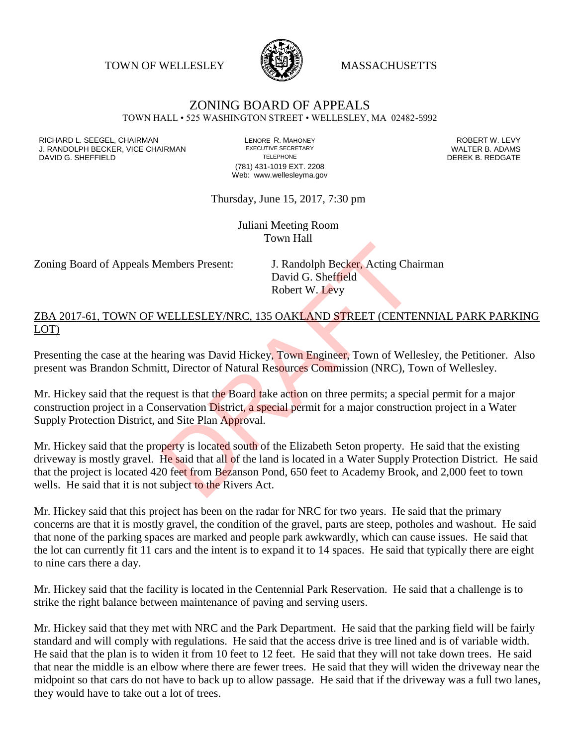TOWN OF WELLESLEY **WASSACHUSETTS** 



## ZONING BOARD OF APPEALS

TOWN HALL • 525 WASHINGTON STREET • WELLESLEY, MA 02482-5992

RICHARD L. SEEGEL, CHAIRMAN LENORE R. MAHONEY ROBERT W. LEVY J. RANDOLPH BECKER, VICE CHAIRMAN EXECUTIVE SECRETARY THE SANDOLPH BECKER, VICE CHAIRMAN EXECUTIVE SECRETARY TRANING SHEFFIFI D DAVID G. SHEFFIELD

(781) 431-1019 EXT. 2208 Web: www.wellesleyma.gov

Thursday, June 15, 2017, 7:30 pm

Juliani Meeting Room Town Hall

Zoning Board of Appeals Members Present: J. Randolph Becker, Acting Chairman

David G. Sheffield Robert W. Levy

ZBA 2017-61, TOWN OF WELLESLEY/NRC, 135 OAKLAND STREET (CENTENNIAL PARK PARKING LOT)

Presenting the case at the hearing was David Hickey, Town Engineer, Town of Wellesley, the Petitioner. Also present was Brandon Schmitt, Director of Natural Resources Commission (NRC), Town of Wellesley.

Mr. Hickey said that the request is that the Board take action on three permits; a special permit for a major construction project in a Conservation District, a special permit for a major construction project in a Water Supply Protection District, and Site Plan Approval.

Mr. Hickey said that the property is located south of the Elizabeth Seton property. He said that the existing driveway is mostly gravel. He said that all of the land is located in a Water Supply Protection District. He said that the project is located 420 feet from Bezanson Pond, 650 feet to Academy Brook, and 2,000 feet to town wells. He said that it is not subject to the Rivers Act. Embers Present: J. Randolph Becker, Acting Cha<br>David G. Sheffield<br>Robert W. Levy<br>WELLESLEY/NRC, 135 OAKLAND STREET (CENTE<br>aring was David Hickey, Town Engineer, Town of Well<br>tt, Director of Natural Resources Commission (NR

Mr. Hickey said that this project has been on the radar for NRC for two years. He said that the primary concerns are that it is mostly gravel, the condition of the gravel, parts are steep, potholes and washout. He said that none of the parking spaces are marked and people park awkwardly, which can cause issues. He said that the lot can currently fit 11 cars and the intent is to expand it to 14 spaces. He said that typically there are eight to nine cars there a day.

Mr. Hickey said that the facility is located in the Centennial Park Reservation. He said that a challenge is to strike the right balance between maintenance of paving and serving users.

Mr. Hickey said that they met with NRC and the Park Department. He said that the parking field will be fairly standard and will comply with regulations. He said that the access drive is tree lined and is of variable width. He said that the plan is to widen it from 10 feet to 12 feet. He said that they will not take down trees. He said that near the middle is an elbow where there are fewer trees. He said that they will widen the driveway near the midpoint so that cars do not have to back up to allow passage. He said that if the driveway was a full two lanes, they would have to take out a lot of trees.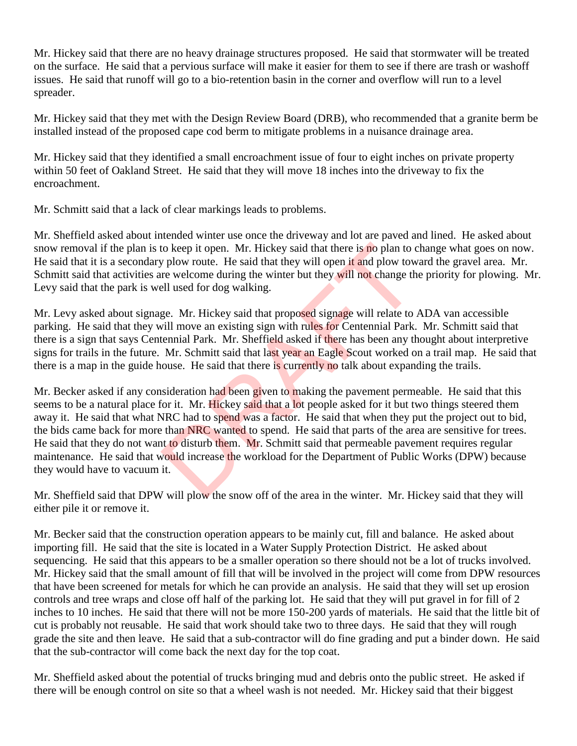Mr. Hickey said that there are no heavy drainage structures proposed. He said that stormwater will be treated on the surface. He said that a pervious surface will make it easier for them to see if there are trash or washoff issues. He said that runoff will go to a bio-retention basin in the corner and overflow will run to a level spreader.

Mr. Hickey said that they met with the Design Review Board (DRB), who recommended that a granite berm be installed instead of the proposed cape cod berm to mitigate problems in a nuisance drainage area.

Mr. Hickey said that they identified a small encroachment issue of four to eight inches on private property within 50 feet of Oakland Street. He said that they will move 18 inches into the driveway to fix the encroachment.

Mr. Schmitt said that a lack of clear markings leads to problems.

Mr. Sheffield asked about intended winter use once the driveway and lot are paved and lined. He asked about snow removal if the plan is to keep it open. Mr. Hickey said that there is no plan to change what goes on now. He said that it is a secondary plow route. He said that they will open it and plow toward the gravel area. Mr. Schmitt said that activities are welcome during the winter but they will not change the priority for plowing. Mr. Levy said that the park is well used for dog walking.

Mr. Levy asked about signage. Mr. Hickey said that proposed signage will relate to ADA van accessible parking. He said that they will move an existing sign with rules for Centennial Park. Mr. Schmitt said that there is a sign that says Centennial Park. Mr. Sheffield asked if there has been any thought about interpretive signs for trails in the future. Mr. Schmitt said that last year an Eagle Scout worked on a trail map. He said that there is a map in the guide house. He said that there is currently no talk about expanding the trails.

Mr. Becker asked if any consideration had been given to making the pavement permeable. He said that this seems to be a natural place for it. Mr. Hickey said that a lot people asked for it but two things steered them away it. He said that what NRC had to spend was a factor. He said that when they put the project out to bid, the bids came back for more than NRC wanted to spend. He said that parts of the area are sensitive for trees. He said that they do not want to disturb them. Mr. Schmitt said that permeable pavement requires regular maintenance. He said that would increase the workload for the Department of Public Works (DPW) because they would have to vacuum it. to keep it open. Mr. Hickey said that there is no plan to complement of plants of plants of plants of plants of the said that they will open it and plow tower welcome during the winter but they will not change the last of

Mr. Sheffield said that DPW will plow the snow off of the area in the winter. Mr. Hickey said that they will either pile it or remove it.

Mr. Becker said that the construction operation appears to be mainly cut, fill and balance. He asked about importing fill. He said that the site is located in a Water Supply Protection District. He asked about sequencing. He said that this appears to be a smaller operation so there should not be a lot of trucks involved. Mr. Hickey said that the small amount of fill that will be involved in the project will come from DPW resources that have been screened for metals for which he can provide an analysis. He said that they will set up erosion controls and tree wraps and close off half of the parking lot. He said that they will put gravel in for fill of 2 inches to 10 inches. He said that there will not be more 150-200 yards of materials. He said that the little bit of cut is probably not reusable. He said that work should take two to three days. He said that they will rough grade the site and then leave. He said that a sub-contractor will do fine grading and put a binder down. He said that the sub-contractor will come back the next day for the top coat.

Mr. Sheffield asked about the potential of trucks bringing mud and debris onto the public street. He asked if there will be enough control on site so that a wheel wash is not needed. Mr. Hickey said that their biggest